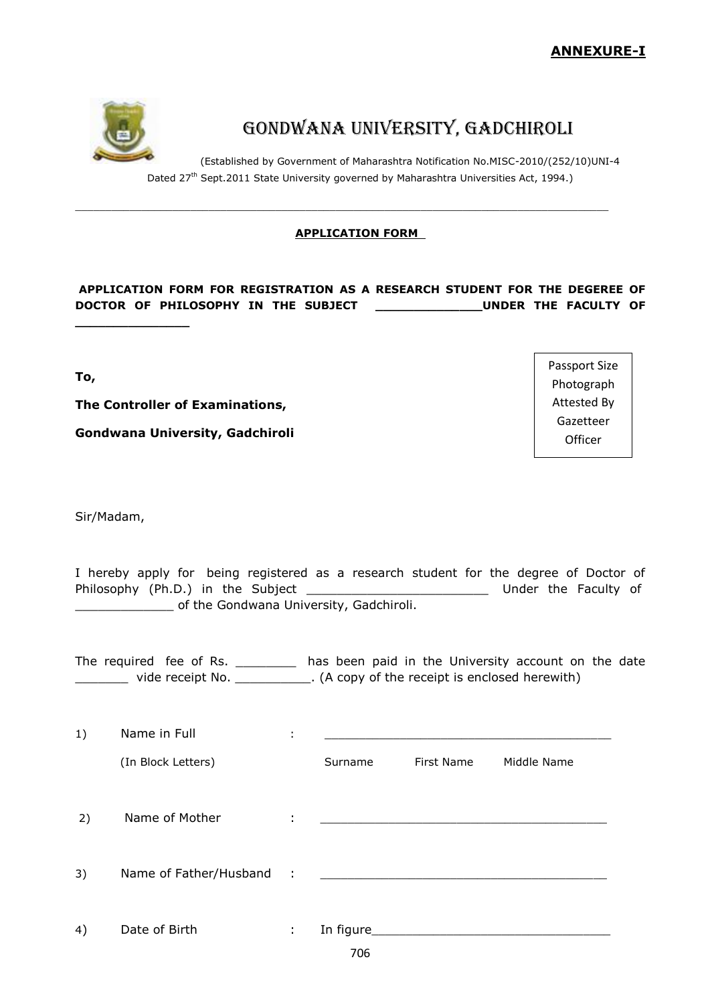

**\_\_\_\_\_\_\_\_\_\_\_\_\_\_\_**

# Gondwana University, Gadchiroli

(Established by Government of Maharashtra Notification No.MISC-2010/(252/10)UNI-4 Dated 27<sup>th</sup> Sept.2011 State University governed by Maharashtra Universities Act, 1994.)

# **APPLICATION FORM**

\_\_\_\_\_\_\_\_\_\_\_\_\_\_\_\_\_\_\_\_\_\_\_\_\_\_\_\_\_\_\_\_\_\_\_\_\_\_\_\_\_\_\_\_\_\_\_\_\_\_\_\_\_\_\_\_\_\_\_\_\_\_\_\_\_\_\_\_\_\_\_\_\_\_\_\_\_\_\_\_\_\_\_\_\_\_\_\_

# **APPLICATION FORM FOR REGISTRATION AS A RESEARCH STUDENT FOR THE DEGEREE OF DOCTOR OF PHILOSOPHY IN THE SUBJECT \_\_\_\_\_\_\_\_\_\_\_\_\_\_UNDER THE FACULTY OF**

**To,**

**The Controller of Examinations,**

**Gondwana University, Gadchiroli**

Sir/Madam,

I hereby apply for being registered as a research student for the degree of Doctor of Philosophy (Ph.D.) in the Subject \_\_\_\_\_\_\_\_\_\_\_\_\_\_\_\_\_\_\_\_\_\_\_\_\_\_\_\_\_\_\_\_\_ Under the Faculty of **EXECUTE:** Of the Gondwana University, Gadchiroli.

The required fee of Rs. \_\_\_\_\_\_\_\_\_ has been paid in the University account on the date \_\_\_\_\_\_\_ vide receipt No. \_\_\_\_\_\_\_\_\_\_. (A copy of the receipt is enclosed herewith)

706 1) Name in Full in the set of the set of the set of the set of the set of the set of the set of the set of the set of the set of the set of the set of the set of the set of the set of the set of the set of the set of the s (In Block Letters) Surname First Name Middle Name 2) Name of Mother  $\qquad \qquad :$ 3) Name of Father/Husband : 4) Date of Birth : In figure

Passport Size Photograph Attested By Gazetteer **Officer**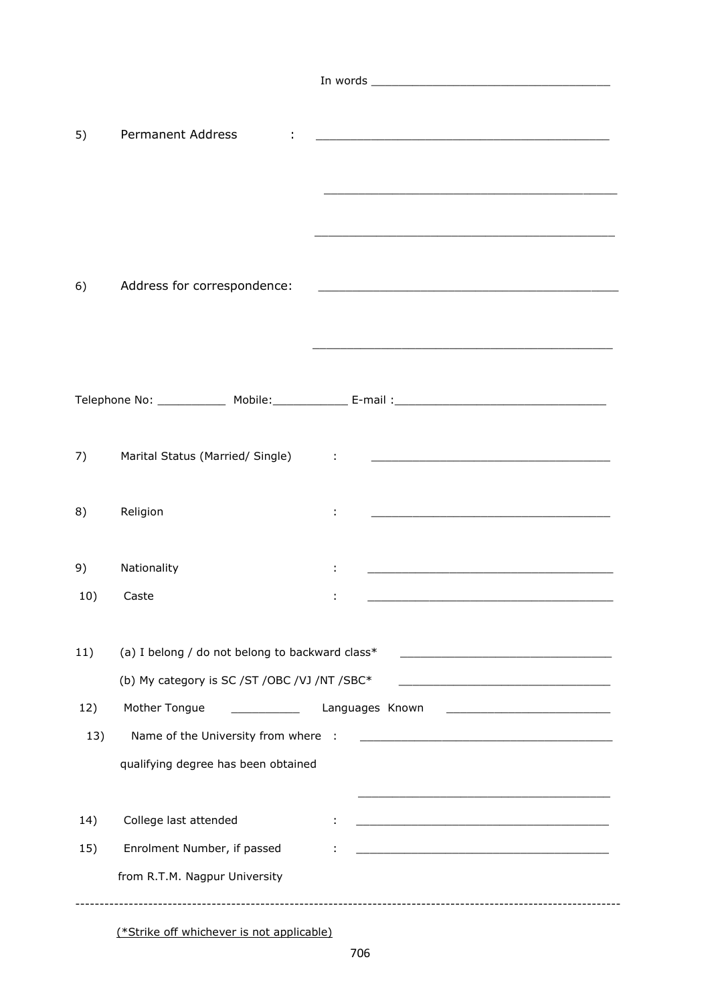| 5)  | <b>Permanent Address</b>                        | <u> 2000 - Jan James James James James James James James James James James James James James James James James J</u><br><u> 1989 - Johann Stoff, deutscher Stoff, der Stoff, der Stoff, der Stoff, der Stoff, der Stoff, der Stoff, der S</u> |
|-----|-------------------------------------------------|-----------------------------------------------------------------------------------------------------------------------------------------------------------------------------------------------------------------------------------------------|
| 6)  | Address for correspondence:                     | <u> 2008 - Jan James James James James James James James James James James James James James James James James J</u>                                                                                                                          |
|     |                                                 |                                                                                                                                                                                                                                               |
|     |                                                 |                                                                                                                                                                                                                                               |
| 7)  | Marital Status (Married/ Single)                | <u> 1986 - Jan Stein Stein Stein Stein Stein Stein Stein Stein Stein Stein Stein Stein Stein Stein Stein Stein S</u>                                                                                                                          |
| 8)  | Religion                                        |                                                                                                                                                                                                                                               |
| 9)  | Nationality                                     | <u> 1989 - Johann Harry Harry Harry Harry Harry Harry Harry Harry Harry Harry Harry Harry Harry Harry Harry Harry</u>                                                                                                                         |
| 10) | Caste                                           |                                                                                                                                                                                                                                               |
|     |                                                 |                                                                                                                                                                                                                                               |
| 11) | (a) I belong / do not belong to backward class* | <u> 1980 - Johann Barbara, martin amerikan basar dan berasal dan berasal dalam basar dalam basar dalam basar dala</u>                                                                                                                         |
|     | (b) My category is SC /ST /OBC /VJ /NT /SBC*    |                                                                                                                                                                                                                                               |
| 12) | Mother Tongue                                   | Languages Known                                                                                                                                                                                                                               |
| 13) | Name of the University from where               | - 1                                                                                                                                                                                                                                           |
|     | qualifying degree has been obtained             |                                                                                                                                                                                                                                               |
|     |                                                 |                                                                                                                                                                                                                                               |
| 14) | College last attended                           | <u> 1989 - Johann Barbara, margaret eta idazlearia (h. 1989).</u>                                                                                                                                                                             |
| 15) | Enrolment Number, if passed                     |                                                                                                                                                                                                                                               |
|     | from R.T.M. Nagpur University                   |                                                                                                                                                                                                                                               |
|     |                                                 |                                                                                                                                                                                                                                               |

(\*Strike off whichever is not applicable)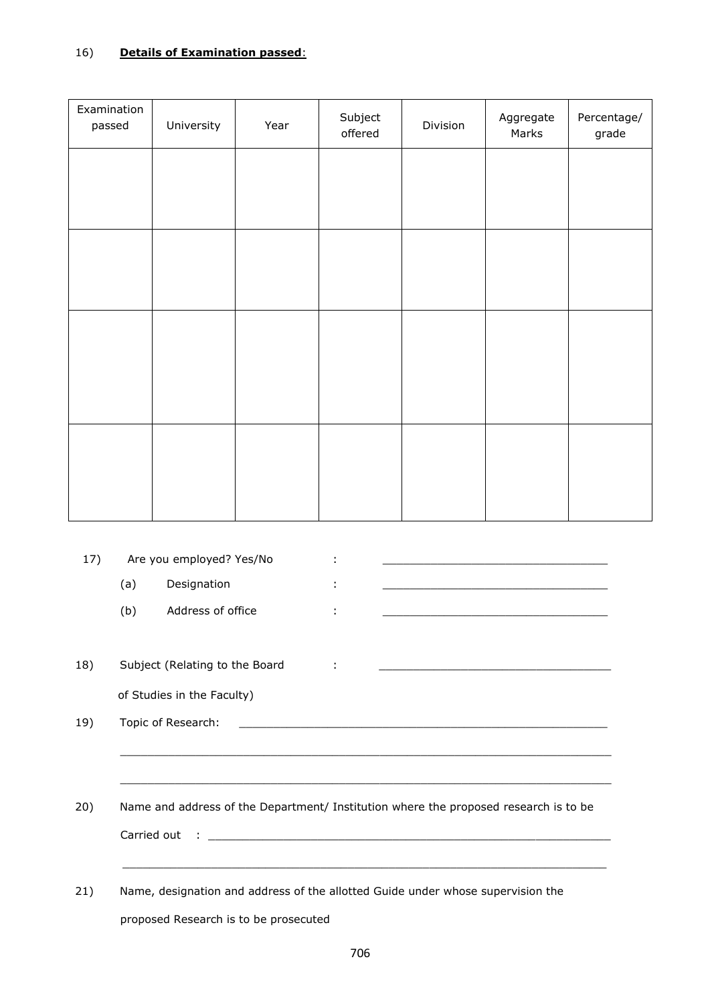| Examination<br>passed | University | Year | Subject<br>offered | Division | Aggregate<br>Marks | Percentage/<br>grade |
|-----------------------|------------|------|--------------------|----------|--------------------|----------------------|
|                       |            |      |                    |          |                    |                      |
|                       |            |      |                    |          |                    |                      |
|                       |            |      |                    |          |                    |                      |
|                       |            |      |                    |          |                    |                      |
|                       |            |      |                    |          |                    |                      |
|                       |            |      |                    |          |                    |                      |
|                       |            |      |                    |          |                    |                      |
|                       |            |      |                    |          |                    |                      |
|                       |            |      |                    |          |                    |                      |
|                       |            |      |                    |          |                    |                      |

| 17) |                                                                                 | Are you employed? Yes/No              |  |                                                                                                                       |  |
|-----|---------------------------------------------------------------------------------|---------------------------------------|--|-----------------------------------------------------------------------------------------------------------------------|--|
|     | (a)                                                                             | Designation                           |  |                                                                                                                       |  |
|     | (b)                                                                             | Address of office                     |  | <u> 1989 - Johann Barbara, margaret eta idazlea (h. 1989).</u>                                                        |  |
|     |                                                                                 |                                       |  |                                                                                                                       |  |
| 18) |                                                                                 | Subject (Relating to the Board        |  |                                                                                                                       |  |
|     |                                                                                 | of Studies in the Faculty)            |  |                                                                                                                       |  |
| 19) |                                                                                 | Topic of Research:                    |  | <u> 1989 - Johann Stein, september 1989 - Stein Stein Stein Stein Stein Stein Stein Stein Stein Stein Stein Stein</u> |  |
|     |                                                                                 |                                       |  |                                                                                                                       |  |
|     |                                                                                 |                                       |  |                                                                                                                       |  |
| 20) |                                                                                 |                                       |  | Name and address of the Department/ Institution where the proposed research is to be                                  |  |
|     |                                                                                 |                                       |  |                                                                                                                       |  |
|     |                                                                                 |                                       |  |                                                                                                                       |  |
| 21) | Name, designation and address of the allotted Guide under whose supervision the |                                       |  |                                                                                                                       |  |
|     |                                                                                 | proposed Research is to be prosecuted |  |                                                                                                                       |  |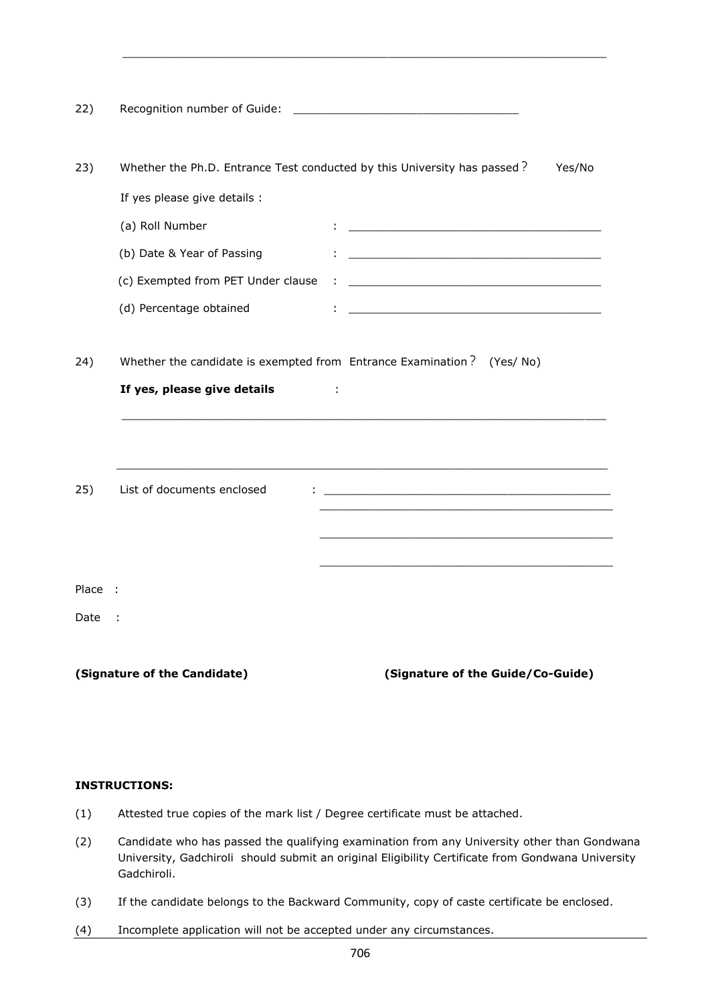22) Recognition number of Guide: \_\_\_\_\_\_\_\_\_\_\_\_\_\_\_\_\_\_\_\_\_\_\_\_\_\_\_\_\_\_\_\_\_ 23) Whether the Ph.D. Entrance Test conducted by this University has passed? Yes/No If yes please give details : (a) Roll Number  $\qquad \qquad : \qquad \qquad$  (b) Date & Year of Passing : \_\_\_\_\_\_\_\_\_\_\_\_\_\_\_\_\_\_\_\_\_\_\_\_\_\_\_\_\_\_\_\_\_\_\_\_\_ (c) Exempted from PET Under clause : \_ (d) Percentage obtained  $\qquad \qquad : \qquad$ 24) Whether the candidate is exempted from Entrance Examination? (Yes/ No) **If yes, please give details** : \_\_\_\_\_\_\_\_\_\_\_\_\_\_\_\_\_\_\_\_\_\_\_\_\_\_\_\_\_\_\_\_\_\_\_\_\_\_\_\_\_\_\_\_\_\_\_\_\_\_\_\_\_\_\_\_\_\_\_\_\_\_\_\_\_\_\_\_\_\_\_  $\mathcal{L}_\text{max} = \frac{1}{2} \sum_{i=1}^{n} \frac{1}{2} \sum_{i=1}^{n} \frac{1}{2} \sum_{i=1}^{n} \frac{1}{2} \sum_{i=1}^{n} \frac{1}{2} \sum_{i=1}^{n} \frac{1}{2} \sum_{i=1}^{n} \frac{1}{2} \sum_{i=1}^{n} \frac{1}{2} \sum_{i=1}^{n} \frac{1}{2} \sum_{i=1}^{n} \frac{1}{2} \sum_{i=1}^{n} \frac{1}{2} \sum_{i=1}^{n} \frac{1}{2} \sum_{i=1}^{n} \frac{1$ 25) List of documents enclosed : \_\_\_\_\_\_\_\_\_\_\_\_\_\_\_\_\_\_\_\_\_\_\_\_\_\_\_\_\_\_\_\_\_\_\_\_\_\_\_\_\_\_ \_\_\_\_\_\_\_\_\_\_\_\_\_\_\_\_\_\_\_\_\_\_\_\_\_\_\_\_\_\_\_\_\_\_\_\_\_\_\_\_\_\_\_ \_\_\_\_\_\_\_\_\_\_\_\_\_\_\_\_\_\_\_\_\_\_\_\_\_\_\_\_\_\_\_\_\_\_\_\_\_\_\_\_\_\_\_  $\mathcal{L}_\mathcal{L} = \mathcal{L}_\mathcal{L} = \mathcal{L}_\mathcal{L} = \mathcal{L}_\mathcal{L} = \mathcal{L}_\mathcal{L} = \mathcal{L}_\mathcal{L} = \mathcal{L}_\mathcal{L} = \mathcal{L}_\mathcal{L} = \mathcal{L}_\mathcal{L} = \mathcal{L}_\mathcal{L} = \mathcal{L}_\mathcal{L} = \mathcal{L}_\mathcal{L} = \mathcal{L}_\mathcal{L} = \mathcal{L}_\mathcal{L} = \mathcal{L}_\mathcal{L} = \mathcal{L}_\mathcal{L} = \mathcal{L}_\mathcal{L}$ Place : Date : **(Signature of the Candidate) (Signature of the Guide/Co-Guide)**

\_\_\_\_\_\_\_\_\_\_\_\_\_\_\_\_\_\_\_\_\_\_\_\_\_\_\_\_\_\_\_\_\_\_\_\_\_\_\_\_\_\_\_\_\_\_\_\_\_\_\_\_\_\_\_\_\_\_\_\_\_\_\_\_\_\_\_\_\_\_\_

## **INSTRUCTIONS:**

- (1) Attested true copies of the mark list / Degree certificate must be attached.
- (2) Candidate who has passed the qualifying examination from any University other than Gondwana University, Gadchiroli should submit an original Eligibility Certificate from Gondwana University Gadchiroli.
- (3) If the candidate belongs to the Backward Community, copy of caste certificate be enclosed.
- (4) Incomplete application will not be accepted under any circumstances.